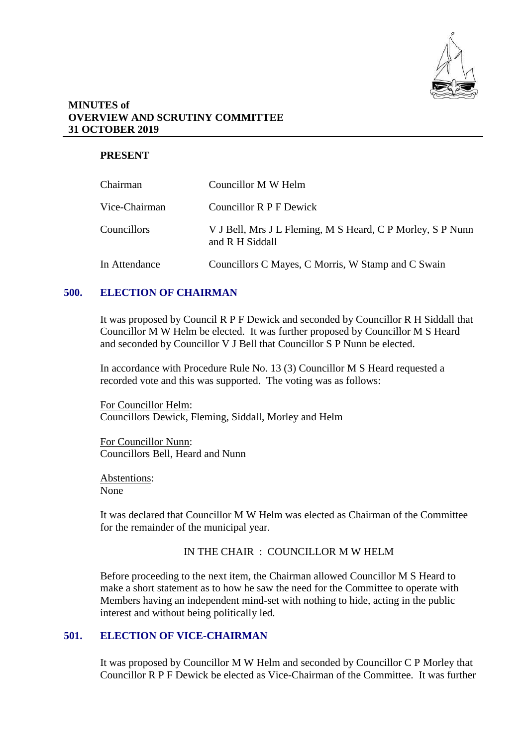

### **MINUTES of OVERVIEW AND SCRUTINY COMMITTEE 31 OCTOBER 2019**

# **PRESENT**

| Chairman      | Councillor M W Helm                                                           |
|---------------|-------------------------------------------------------------------------------|
| Vice-Chairman | Councillor R P F Dewick                                                       |
| Councillors   | V J Bell, Mrs J L Fleming, M S Heard, C P Morley, S P Nunn<br>and R H Siddall |
| In Attendance | Councillors C Mayes, C Morris, W Stamp and C Swain                            |

### **500. ELECTION OF CHAIRMAN**

It was proposed by Council R P F Dewick and seconded by Councillor R H Siddall that Councillor M W Helm be elected. It was further proposed by Councillor M S Heard and seconded by Councillor V J Bell that Councillor S P Nunn be elected.

In accordance with Procedure Rule No. 13 (3) Councillor M S Heard requested a recorded vote and this was supported. The voting was as follows:

For Councillor Helm: Councillors Dewick, Fleming, Siddall, Morley and Helm

For Councillor Nunn: Councillors Bell, Heard and Nunn

Abstentions: None

It was declared that Councillor M W Helm was elected as Chairman of the Committee for the remainder of the municipal year.

### IN THE CHAIR : COUNCILLOR M W HELM

Before proceeding to the next item, the Chairman allowed Councillor M S Heard to make a short statement as to how he saw the need for the Committee to operate with Members having an independent mind-set with nothing to hide, acting in the public interest and without being politically led.

# **501. ELECTION OF VICE-CHAIRMAN**

It was proposed by Councillor M W Helm and seconded by Councillor C P Morley that Councillor R P F Dewick be elected as Vice-Chairman of the Committee. It was further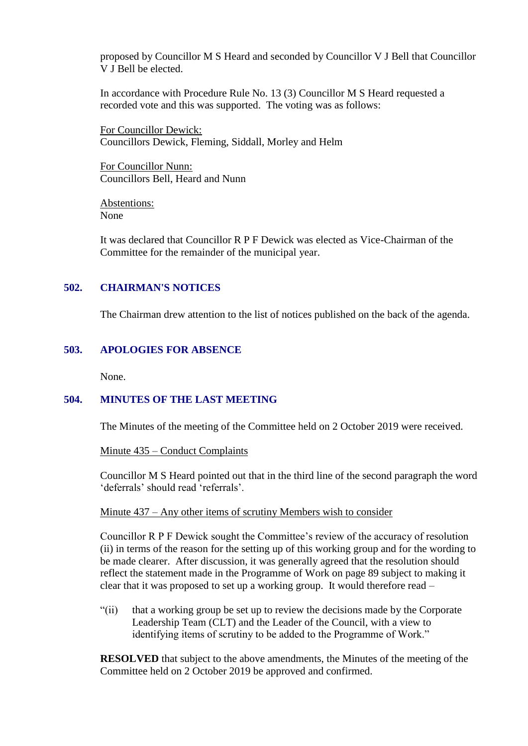proposed by Councillor M S Heard and seconded by Councillor V J Bell that Councillor V J Bell be elected.

In accordance with Procedure Rule No. 13 (3) Councillor M S Heard requested a recorded vote and this was supported. The voting was as follows:

For Councillor Dewick: Councillors Dewick, Fleming, Siddall, Morley and Helm

For Councillor Nunn: Councillors Bell, Heard and Nunn

Abstentions: None

It was declared that Councillor R P F Dewick was elected as Vice-Chairman of the Committee for the remainder of the municipal year.

## **502. CHAIRMAN'S NOTICES**

The Chairman drew attention to the list of notices published on the back of the agenda.

# **503. APOLOGIES FOR ABSENCE**

None.

## **504. MINUTES OF THE LAST MEETING**

The Minutes of the meeting of the Committee held on 2 October 2019 were received.

### Minute 435 – Conduct Complaints

Councillor M S Heard pointed out that in the third line of the second paragraph the word 'deferrals' should read 'referrals'.

## Minute 437 – Any other items of scrutiny Members wish to consider

Councillor R P F Dewick sought the Committee's review of the accuracy of resolution (ii) in terms of the reason for the setting up of this working group and for the wording to be made clearer. After discussion, it was generally agreed that the resolution should reflect the statement made in the Programme of Work on page 89 subject to making it clear that it was proposed to set up a working group. It would therefore read –

"(ii) that a working group be set up to review the decisions made by the Corporate Leadership Team (CLT) and the Leader of the Council, with a view to identifying items of scrutiny to be added to the Programme of Work."

**RESOLVED** that subject to the above amendments, the Minutes of the meeting of the Committee held on 2 October 2019 be approved and confirmed.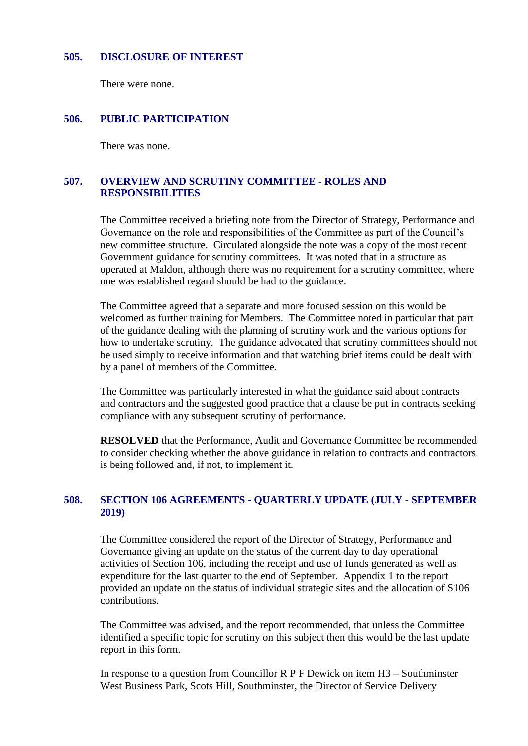#### **505. DISCLOSURE OF INTEREST**

There were none.

#### **506. PUBLIC PARTICIPATION**

There was none.

### **507. OVERVIEW AND SCRUTINY COMMITTEE - ROLES AND RESPONSIBILITIES**

The Committee received a briefing note from the Director of Strategy, Performance and Governance on the role and responsibilities of the Committee as part of the Council's new committee structure. Circulated alongside the note was a copy of the most recent Government guidance for scrutiny committees. It was noted that in a structure as operated at Maldon, although there was no requirement for a scrutiny committee, where one was established regard should be had to the guidance.

The Committee agreed that a separate and more focused session on this would be welcomed as further training for Members. The Committee noted in particular that part of the guidance dealing with the planning of scrutiny work and the various options for how to undertake scrutiny. The guidance advocated that scrutiny committees should not be used simply to receive information and that watching brief items could be dealt with by a panel of members of the Committee.

The Committee was particularly interested in what the guidance said about contracts and contractors and the suggested good practice that a clause be put in contracts seeking compliance with any subsequent scrutiny of performance.

**RESOLVED** that the Performance, Audit and Governance Committee be recommended to consider checking whether the above guidance in relation to contracts and contractors is being followed and, if not, to implement it.

### **508. SECTION 106 AGREEMENTS - QUARTERLY UPDATE (JULY - SEPTEMBER 2019)**

The Committee considered the report of the Director of Strategy, Performance and Governance giving an update on the status of the current day to day operational activities of Section 106, including the receipt and use of funds generated as well as expenditure for the last quarter to the end of September. Appendix 1 to the report provided an update on the status of individual strategic sites and the allocation of S106 contributions.

The Committee was advised, and the report recommended, that unless the Committee identified a specific topic for scrutiny on this subject then this would be the last update report in this form.

In response to a question from Councillor  $R$  P F Dewick on item  $H3$  – Southminster West Business Park, Scots Hill, Southminster, the Director of Service Delivery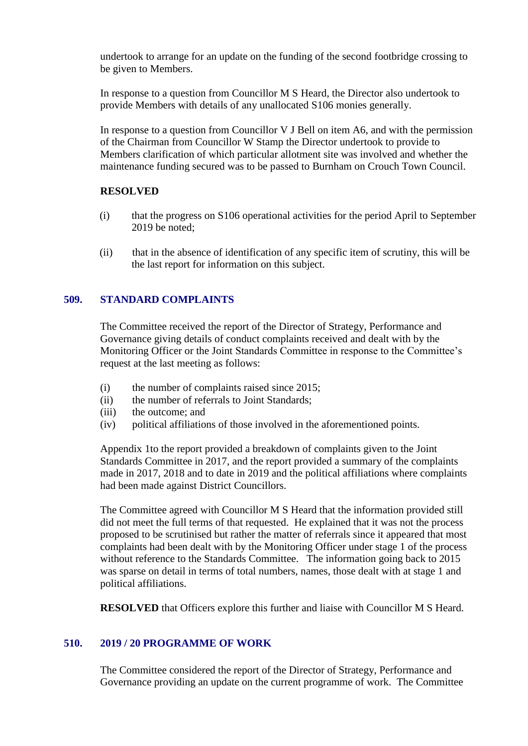undertook to arrange for an update on the funding of the second footbridge crossing to be given to Members.

In response to a question from Councillor M S Heard, the Director also undertook to provide Members with details of any unallocated S106 monies generally.

In response to a question from Councillor V J Bell on item A6, and with the permission of the Chairman from Councillor W Stamp the Director undertook to provide to Members clarification of which particular allotment site was involved and whether the maintenance funding secured was to be passed to Burnham on Crouch Town Council.

### **RESOLVED**

- (i) that the progress on S106 operational activities for the period April to September 2019 be noted;
- (ii) that in the absence of identification of any specific item of scrutiny, this will be the last report for information on this subject.

## **509. STANDARD COMPLAINTS**

The Committee received the report of the Director of Strategy, Performance and Governance giving details of conduct complaints received and dealt with by the Monitoring Officer or the Joint Standards Committee in response to the Committee's request at the last meeting as follows:

- (i) the number of complaints raised since 2015;
- (ii) the number of referrals to Joint Standards;
- (iii) the outcome; and
- (iv) political affiliations of those involved in the aforementioned points.

Appendix 1to the report provided a breakdown of complaints given to the Joint Standards Committee in 2017, and the report provided a summary of the complaints made in 2017, 2018 and to date in 2019 and the political affiliations where complaints had been made against District Councillors.

The Committee agreed with Councillor M S Heard that the information provided still did not meet the full terms of that requested. He explained that it was not the process proposed to be scrutinised but rather the matter of referrals since it appeared that most complaints had been dealt with by the Monitoring Officer under stage 1 of the process without reference to the Standards Committee. The information going back to 2015 was sparse on detail in terms of total numbers, names, those dealt with at stage 1 and political affiliations.

**RESOLVED** that Officers explore this further and liaise with Councillor M S Heard.

## **510. 2019 / 20 PROGRAMME OF WORK**

The Committee considered the report of the Director of Strategy, Performance and Governance providing an update on the current programme of work. The Committee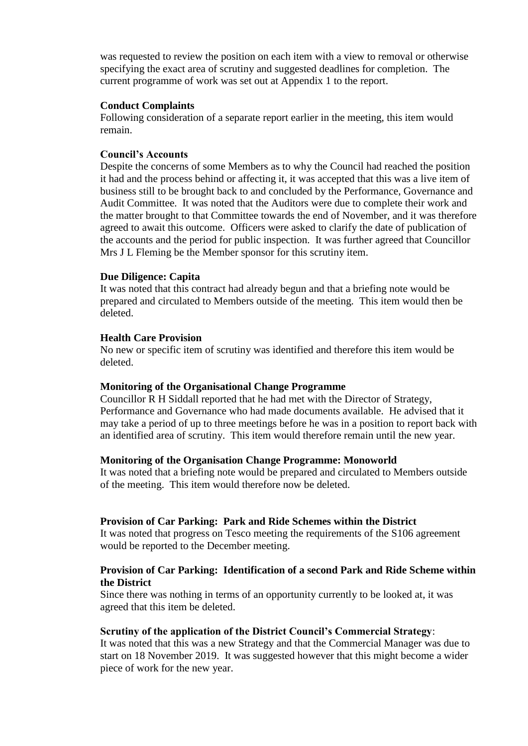was requested to review the position on each item with a view to removal or otherwise specifying the exact area of scrutiny and suggested deadlines for completion. The current programme of work was set out at Appendix 1 to the report.

#### **Conduct Complaints**

Following consideration of a separate report earlier in the meeting, this item would remain.

#### **Council's Accounts**

Despite the concerns of some Members as to why the Council had reached the position it had and the process behind or affecting it, it was accepted that this was a live item of business still to be brought back to and concluded by the Performance, Governance and Audit Committee. It was noted that the Auditors were due to complete their work and the matter brought to that Committee towards the end of November, and it was therefore agreed to await this outcome. Officers were asked to clarify the date of publication of the accounts and the period for public inspection. It was further agreed that Councillor Mrs J L Fleming be the Member sponsor for this scrutiny item.

#### **Due Diligence: Capita**

It was noted that this contract had already begun and that a briefing note would be prepared and circulated to Members outside of the meeting. This item would then be deleted.

#### **Health Care Provision**

No new or specific item of scrutiny was identified and therefore this item would be deleted.

#### **Monitoring of the Organisational Change Programme**

Councillor R H Siddall reported that he had met with the Director of Strategy, Performance and Governance who had made documents available. He advised that it may take a period of up to three meetings before he was in a position to report back with an identified area of scrutiny. This item would therefore remain until the new year.

#### **Monitoring of the Organisation Change Programme: Monoworld**

It was noted that a briefing note would be prepared and circulated to Members outside of the meeting. This item would therefore now be deleted.

#### **Provision of Car Parking: Park and Ride Schemes within the District**

It was noted that progress on Tesco meeting the requirements of the S106 agreement would be reported to the December meeting.

### **Provision of Car Parking: Identification of a second Park and Ride Scheme within the District**

Since there was nothing in terms of an opportunity currently to be looked at, it was agreed that this item be deleted.

#### **Scrutiny of the application of the District Council's Commercial Strategy**:

It was noted that this was a new Strategy and that the Commercial Manager was due to start on 18 November 2019. It was suggested however that this might become a wider piece of work for the new year.